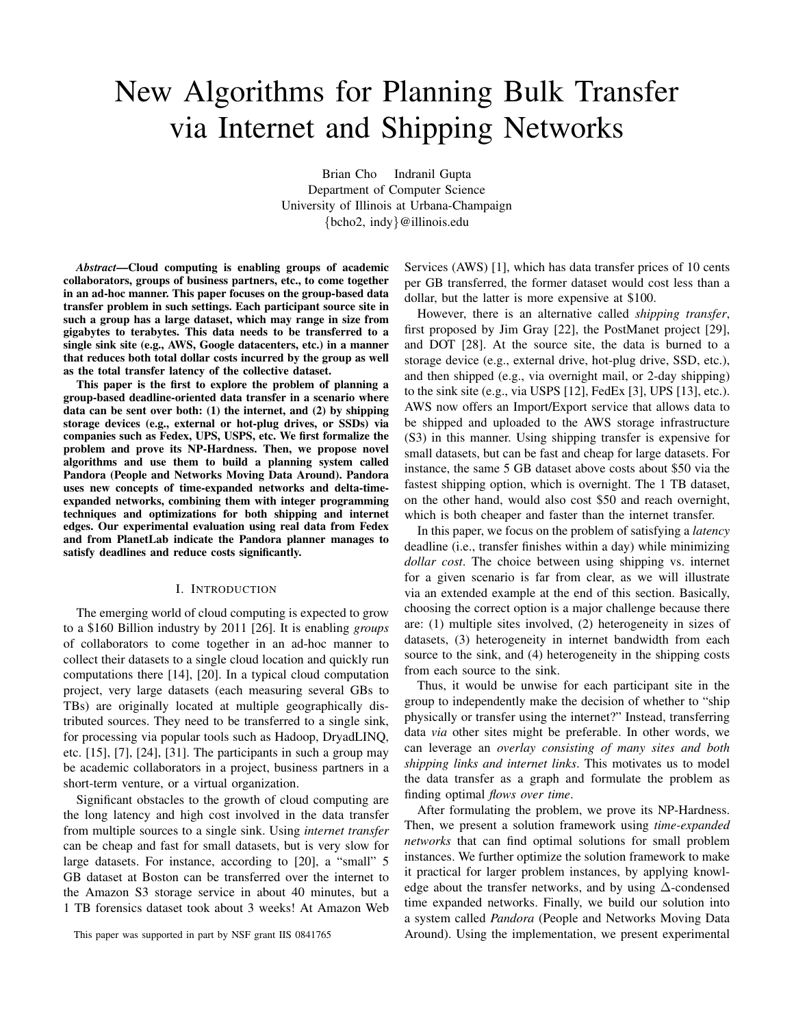# New Algorithms for Planning Bulk Transfer via Internet and Shipping Networks

Brian Cho Indranil Gupta Department of Computer Science University of Illinois at Urbana-Champaign {bcho2, indy}@illinois.edu

*Abstract*—Cloud computing is enabling groups of academic collaborators, groups of business partners, etc., to come together in an ad-hoc manner. This paper focuses on the group-based data transfer problem in such settings. Each participant source site in such a group has a large dataset, which may range in size from gigabytes to terabytes. This data needs to be transferred to a single sink site (e.g., AWS, Google datacenters, etc.) in a manner that reduces both total dollar costs incurred by the group as well as the total transfer latency of the collective dataset.

This paper is the first to explore the problem of planning a group-based deadline-oriented data transfer in a scenario where data can be sent over both: (1) the internet, and (2) by shipping storage devices (e.g., external or hot-plug drives, or SSDs) via companies such as Fedex, UPS, USPS, etc. We first formalize the problem and prove its NP-Hardness. Then, we propose novel algorithms and use them to build a planning system called Pandora (People and Networks Moving Data Around). Pandora uses new concepts of time-expanded networks and delta-timeexpanded networks, combining them with integer programming techniques and optimizations for both shipping and internet edges. Our experimental evaluation using real data from Fedex and from PlanetLab indicate the Pandora planner manages to satisfy deadlines and reduce costs significantly.

#### I. INTRODUCTION

The emerging world of cloud computing is expected to grow to a \$160 Billion industry by 2011 [26]. It is enabling *groups* of collaborators to come together in an ad-hoc manner to collect their datasets to a single cloud location and quickly run computations there [14], [20]. In a typical cloud computation project, very large datasets (each measuring several GBs to TBs) are originally located at multiple geographically distributed sources. They need to be transferred to a single sink, for processing via popular tools such as Hadoop, DryadLINQ, etc. [15], [7], [24], [31]. The participants in such a group may be academic collaborators in a project, business partners in a short-term venture, or a virtual organization.

Significant obstacles to the growth of cloud computing are the long latency and high cost involved in the data transfer from multiple sources to a single sink. Using *internet transfer* can be cheap and fast for small datasets, but is very slow for large datasets. For instance, according to [20], a "small" 5 GB dataset at Boston can be transferred over the internet to the Amazon S3 storage service in about 40 minutes, but a 1 TB forensics dataset took about 3 weeks! At Amazon Web Services (AWS) [1], which has data transfer prices of 10 cents per GB transferred, the former dataset would cost less than a dollar, but the latter is more expensive at \$100.

However, there is an alternative called *shipping transfer*, first proposed by Jim Gray [22], the PostManet project [29], and DOT [28]. At the source site, the data is burned to a storage device (e.g., external drive, hot-plug drive, SSD, etc.), and then shipped (e.g., via overnight mail, or 2-day shipping) to the sink site (e.g., via USPS [12], FedEx [3], UPS [13], etc.). AWS now offers an Import/Export service that allows data to be shipped and uploaded to the AWS storage infrastructure (S3) in this manner. Using shipping transfer is expensive for small datasets, but can be fast and cheap for large datasets. For instance, the same 5 GB dataset above costs about \$50 via the fastest shipping option, which is overnight. The 1 TB dataset, on the other hand, would also cost \$50 and reach overnight, which is both cheaper and faster than the internet transfer.

In this paper, we focus on the problem of satisfying a *latency* deadline (i.e., transfer finishes within a day) while minimizing *dollar cost*. The choice between using shipping vs. internet for a given scenario is far from clear, as we will illustrate via an extended example at the end of this section. Basically, choosing the correct option is a major challenge because there are: (1) multiple sites involved, (2) heterogeneity in sizes of datasets, (3) heterogeneity in internet bandwidth from each source to the sink, and (4) heterogeneity in the shipping costs from each source to the sink.

Thus, it would be unwise for each participant site in the group to independently make the decision of whether to "ship physically or transfer using the internet?" Instead, transferring data *via* other sites might be preferable. In other words, we can leverage an *overlay consisting of many sites and both shipping links and internet links*. This motivates us to model the data transfer as a graph and formulate the problem as finding optimal *flows over time*.

After formulating the problem, we prove its NP-Hardness. Then, we present a solution framework using *time-expanded networks* that can find optimal solutions for small problem instances. We further optimize the solution framework to make it practical for larger problem instances, by applying knowledge about the transfer networks, and by using ∆-condensed time expanded networks. Finally, we build our solution into a system called *Pandora* (People and Networks Moving Data Around). Using the implementation, we present experimental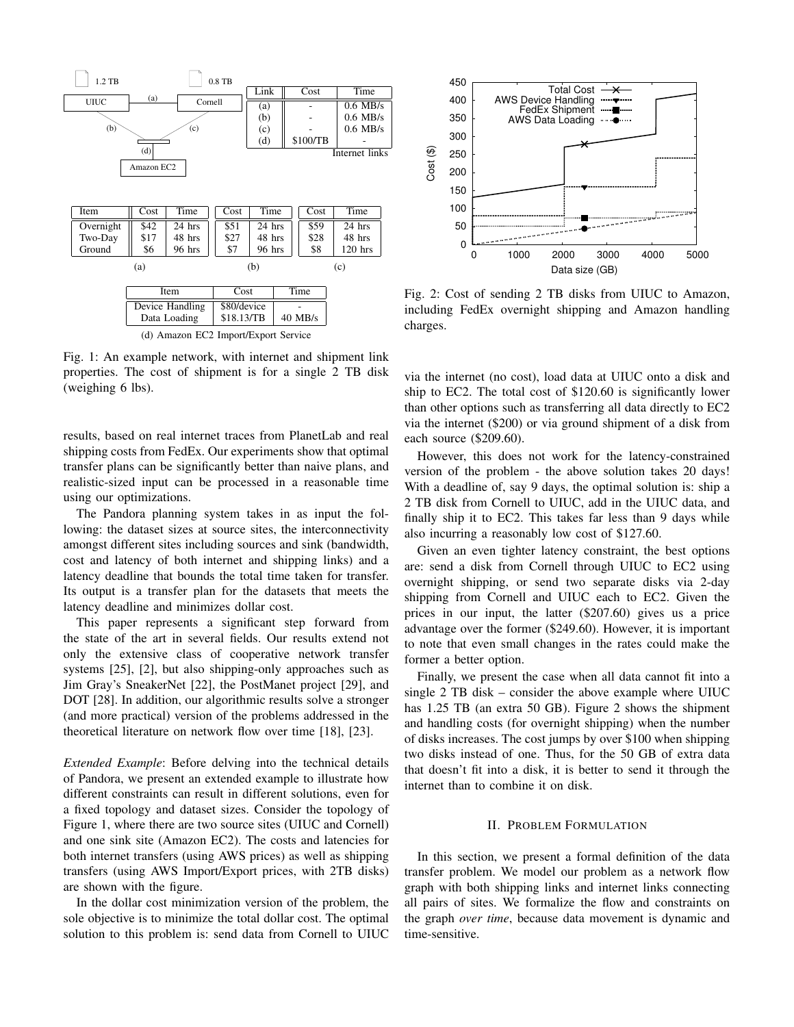

Fig. 1: An example network, with internet and shipment link properties. The cost of shipment is for a single 2 TB disk (weighing 6 lbs).

results, based on real internet traces from PlanetLab and real shipping costs from FedEx. Our experiments show that optimal transfer plans can be significantly better than naive plans, and realistic-sized input can be processed in a reasonable time using our optimizations.

The Pandora planning system takes in as input the following: the dataset sizes at source sites, the interconnectivity amongst different sites including sources and sink (bandwidth, cost and latency of both internet and shipping links) and a latency deadline that bounds the total time taken for transfer. Its output is a transfer plan for the datasets that meets the latency deadline and minimizes dollar cost.

This paper represents a significant step forward from the state of the art in several fields. Our results extend not only the extensive class of cooperative network transfer systems [25], [2], but also shipping-only approaches such as Jim Gray's SneakerNet [22], the PostManet project [29], and DOT [28]. In addition, our algorithmic results solve a stronger (and more practical) version of the problems addressed in the theoretical literature on network flow over time [18], [23].

*Extended Example*: Before delving into the technical details of Pandora, we present an extended example to illustrate how different constraints can result in different solutions, even for a fixed topology and dataset sizes. Consider the topology of Figure 1, where there are two source sites (UIUC and Cornell) and one sink site (Amazon EC2). The costs and latencies for both internet transfers (using AWS prices) as well as shipping transfers (using AWS Import/Export prices, with 2TB disks) are shown with the figure.

In the dollar cost minimization version of the problem, the sole objective is to minimize the total dollar cost. The optimal solution to this problem is: send data from Cornell to UIUC



Fig. 2: Cost of sending 2 TB disks from UIUC to Amazon, including FedEx overnight shipping and Amazon handling charges.

via the internet (no cost), load data at UIUC onto a disk and ship to EC2. The total cost of \$120.60 is significantly lower than other options such as transferring all data directly to EC2 via the internet (\$200) or via ground shipment of a disk from each source (\$209.60).

However, this does not work for the latency-constrained version of the problem - the above solution takes 20 days! With a deadline of, say 9 days, the optimal solution is: ship a 2 TB disk from Cornell to UIUC, add in the UIUC data, and finally ship it to EC2. This takes far less than 9 days while also incurring a reasonably low cost of \$127.60.

Given an even tighter latency constraint, the best options are: send a disk from Cornell through UIUC to EC2 using overnight shipping, or send two separate disks via 2-day shipping from Cornell and UIUC each to EC2. Given the prices in our input, the latter (\$207.60) gives us a price advantage over the former (\$249.60). However, it is important to note that even small changes in the rates could make the former a better option.

Finally, we present the case when all data cannot fit into a single 2 TB disk – consider the above example where UIUC has 1.25 TB (an extra 50 GB). Figure 2 shows the shipment and handling costs (for overnight shipping) when the number of disks increases. The cost jumps by over \$100 when shipping two disks instead of one. Thus, for the 50 GB of extra data that doesn't fit into a disk, it is better to send it through the internet than to combine it on disk.

## II. PROBLEM FORMULATION

In this section, we present a formal definition of the data transfer problem. We model our problem as a network flow graph with both shipping links and internet links connecting all pairs of sites. We formalize the flow and constraints on the graph *over time*, because data movement is dynamic and time-sensitive.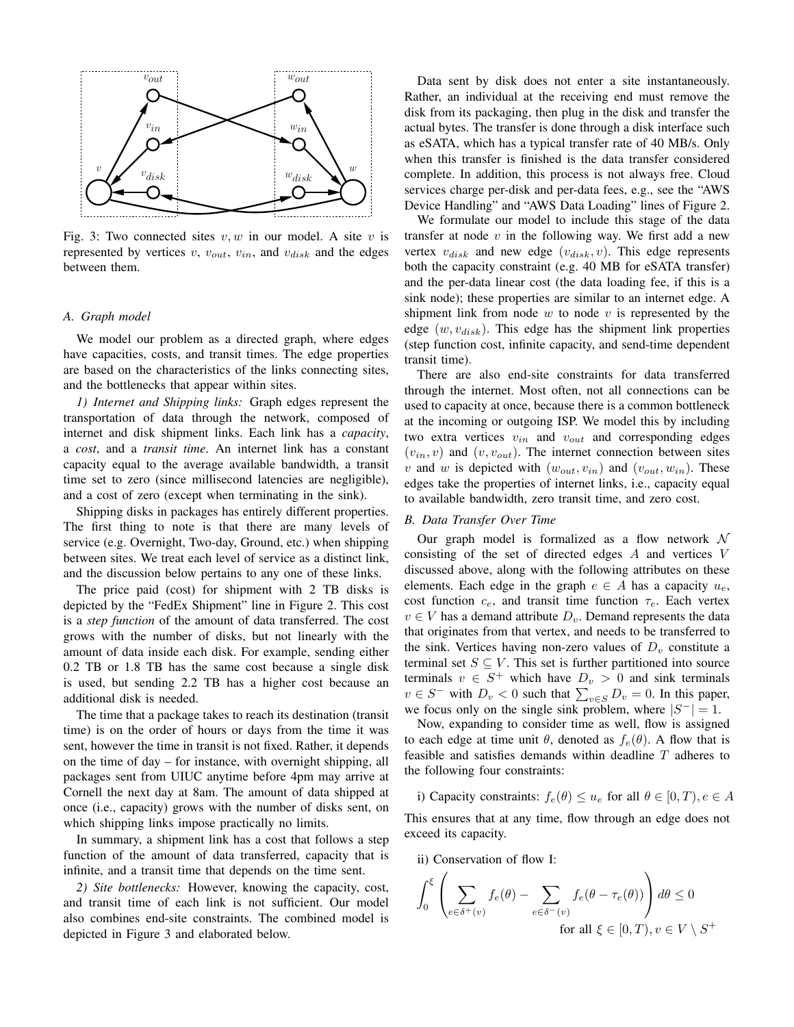

Fig. 3: Two connected sites  $v, w$  in our model. A site v is represented by vertices v,  $v_{out}$ ,  $v_{in}$ , and  $v_{disk}$  and the edges between them.

## *A. Graph model*

We model our problem as a directed graph, where edges have capacities, costs, and transit times. The edge properties are based on the characteristics of the links connecting sites, and the bottlenecks that appear within sites.

*1) Internet and Shipping links:* Graph edges represent the transportation of data through the network, composed of internet and disk shipment links. Each link has a *capacity*, a *cost*, and a *transit time*. An internet link has a constant capacity equal to the average available bandwidth, a transit time set to zero (since millisecond latencies are negligible), and a cost of zero (except when terminating in the sink).

Shipping disks in packages has entirely different properties. The first thing to note is that there are many levels of service (e.g. Overnight, Two-day, Ground, etc.) when shipping between sites. We treat each level of service as a distinct link, and the discussion below pertains to any one of these links.

The price paid (cost) for shipment with 2 TB disks is depicted by the "FedEx Shipment" line in Figure 2. This cost is a *step function* of the amount of data transferred. The cost grows with the number of disks, but not linearly with the amount of data inside each disk. For example, sending either 0.2 TB or 1.8 TB has the same cost because a single disk is used, but sending 2.2 TB has a higher cost because an additional disk is needed.

The time that a package takes to reach its destination (transit time) is on the order of hours or days from the time it was sent, however the time in transit is not fixed. Rather, it depends on the time of day – for instance, with overnight shipping, all packages sent from UIUC anytime before 4pm may arrive at Cornell the next day at 8am. The amount of data shipped at once (i.e., capacity) grows with the number of disks sent, on which shipping links impose practically no limits.

In summary, a shipment link has a cost that follows a step function of the amount of data transferred, capacity that is infinite, and a transit time that depends on the time sent.

*2) Site bottlenecks:* However, knowing the capacity, cost, and transit time of each link is not sufficient. Our model also combines end-site constraints. The combined model is depicted in Figure 3 and elaborated below.

Data sent by disk does not enter a site instantaneously. Rather, an individual at the receiving end must remove the disk from its packaging, then plug in the disk and transfer the actual bytes. The transfer is done through a disk interface such as eSATA, which has a typical transfer rate of 40 MB/s. Only when this transfer is finished is the data transfer considered complete. In addition, this process is not always free. Cloud services charge per-disk and per-data fees, e.g., see the "AWS Device Handling" and "AWS Data Loading" lines of Figure 2.

We formulate our model to include this stage of the data transfer at node  $v$  in the following way. We first add a new vertex  $v_{disk}$  and new edge  $(v_{disk}, v)$ . This edge represents both the capacity constraint (e.g. 40 MB for eSATA transfer) and the per-data linear cost (the data loading fee, if this is a sink node); these properties are similar to an internet edge. A shipment link from node  $w$  to node  $v$  is represented by the edge  $(w, v_{disk})$ . This edge has the shipment link properties (step function cost, infinite capacity, and send-time dependent transit time).

There are also end-site constraints for data transferred through the internet. Most often, not all connections can be used to capacity at once, because there is a common bottleneck at the incoming or outgoing ISP. We model this by including two extra vertices  $v_{in}$  and  $v_{out}$  and corresponding edges  $(v_{in}, v)$  and  $(v, v_{out})$ . The internet connection between sites v and w is depicted with  $(w_{out}, v_{in})$  and  $(v_{out}, w_{in})$ . These edges take the properties of internet links, i.e., capacity equal to available bandwidth, zero transit time, and zero cost.

## *B. Data Transfer Over Time*

Our graph model is formalized as a flow network  $\mathcal N$ consisting of the set of directed edges A and vertices V discussed above, along with the following attributes on these elements. Each edge in the graph  $e \in A$  has a capacity  $u_e$ , cost function  $c_e$ , and transit time function  $\tau_e$ . Each vertex  $v \in V$  has a demand attribute  $D_v$ . Demand represents the data that originates from that vertex, and needs to be transferred to the sink. Vertices having non-zero values of  $D<sub>v</sub>$  constitute a terminal set  $S \subseteq V$ . This set is further partitioned into source terminals  $v \in S^+$  which have  $D_v > 0$  and sink terminals  $v \in S^-$  with  $D_v < 0$  such that  $\sum_{v \in S} D_v = 0$ . In this paper, we focus only on the single sink problem, where  $|S^{-}| = 1$ .

Now, expanding to consider time as well, flow is assigned to each edge at time unit  $\theta$ , denoted as  $f_e(\theta)$ . A flow that is feasible and satisfies demands within deadline T adheres to the following four constraints:

i) Capacity constraints:  $f_e(\theta) \leq u_e$  for all  $\theta \in [0, T), e \in A$ This ensures that at any time, flow through an edge does not exceed its capacity.

ii) Conservation of flow I:

$$
\int_0^{\xi} \left( \sum_{e \in \delta^+(v)} f_e(\theta) - \sum_{e \in \delta^-(v)} f_e(\theta - \tau_e(\theta)) \right) d\theta \le 0
$$
  
for all  $\xi \in [0, T), v \in V \setminus S^+$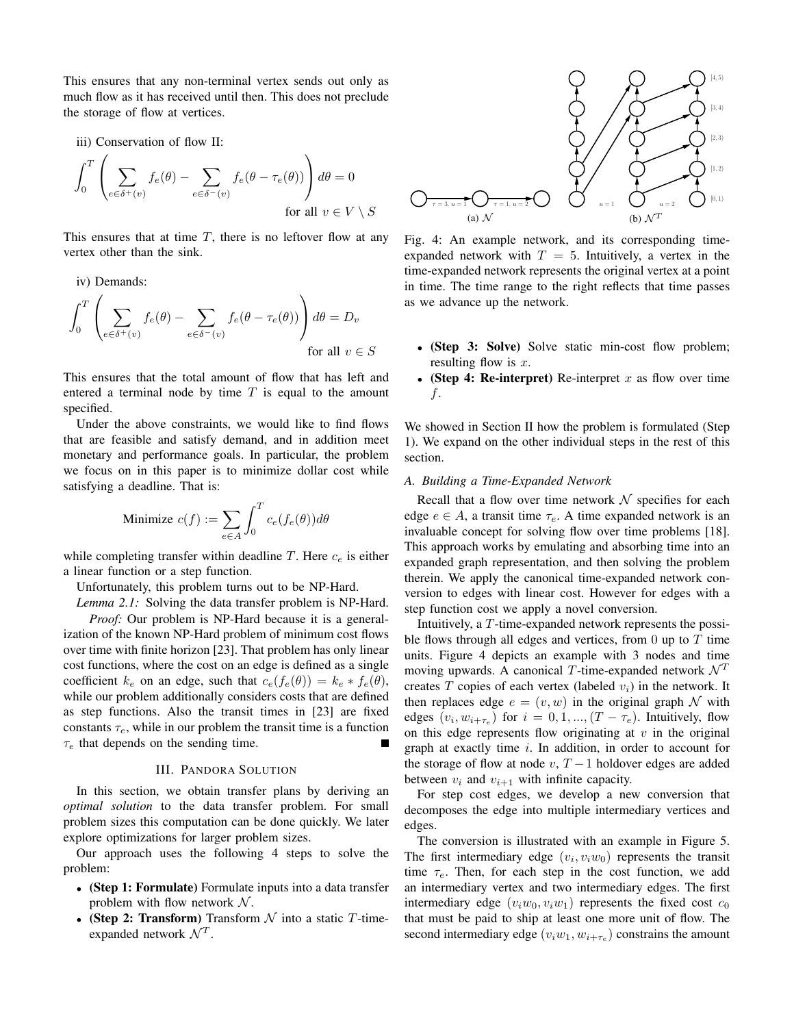This ensures that any non-terminal vertex sends out only as much flow as it has received until then. This does not preclude the storage of flow at vertices.

iii) Conservation of flow II:

$$
\int_0^T \left( \sum_{e \in \delta^+(v)} f_e(\theta) - \sum_{e \in \delta^-(v)} f_e(\theta - \tau_e(\theta)) \right) d\theta = 0
$$
  
for all  $v \in V \setminus S$ 

This ensures that at time  $T$ , there is no leftover flow at any vertex other than the sink.

iv) Demands:  
\n
$$
\int_0^T \left( \sum_{e \in \delta^+(v)} f_e(\theta) - \sum_{e \in \delta^-(v)} f_e(\theta - \tau_e(\theta)) \right) d\theta = D_v
$$
\nfor all  $v \in S$ 

This ensures that the total amount of flow that has left and entered a terminal node by time  $T$  is equal to the amount specified.

Under the above constraints, we would like to find flows that are feasible and satisfy demand, and in addition meet monetary and performance goals. In particular, the problem we focus on in this paper is to minimize dollar cost while satisfying a deadline. That is:

Minimize 
$$
c(f) := \sum_{e \in A} \int_0^T c_e(f_e(\theta)) d\theta
$$

while completing transfer within deadline  $T$ . Here  $c_e$  is either a linear function or a step function.

Unfortunately, this problem turns out to be NP-Hard.

*Lemma 2.1:* Solving the data transfer problem is NP-Hard.

*Proof:* Our problem is NP-Hard because it is a generalization of the known NP-Hard problem of minimum cost flows over time with finite horizon [23]. That problem has only linear cost functions, where the cost on an edge is defined as a single coefficient  $k_e$  on an edge, such that  $c_e(f_e(\theta)) = k_e * f_e(\theta)$ , while our problem additionally considers costs that are defined as step functions. Also the transit times in [23] are fixed constants  $\tau_e$ , while in our problem the transit time is a function  $\tau_e$  that depends on the sending time.

## III. PANDORA SOLUTION

In this section, we obtain transfer plans by deriving an *optimal solution* to the data transfer problem. For small problem sizes this computation can be done quickly. We later explore optimizations for larger problem sizes.

Our approach uses the following 4 steps to solve the problem:

- (Step 1: Formulate) Formulate inputs into a data transfer problem with flow network  $N$ .
- (Step 2: Transform) Transform  $N$  into a static T-timeexpanded network  $\mathcal{N}^T$ .



Fig. 4: An example network, and its corresponding timeexpanded network with  $T = 5$ . Intuitively, a vertex in the time-expanded network represents the original vertex at a point in time. The time range to the right reflects that time passes as we advance up the network.

- (Step 3: Solve) Solve static min-cost flow problem; resulting flow is  $x$ .
- (Step 4: Re-interpret) Re-interpret  $x$  as flow over time f.

We showed in Section II how the problem is formulated (Step 1). We expand on the other individual steps in the rest of this section.

#### *A. Building a Time-Expanded Network*

Recall that a flow over time network  $\mathcal N$  specifies for each edge  $e \in A$ , a transit time  $\tau_e$ . A time expanded network is an invaluable concept for solving flow over time problems [18]. This approach works by emulating and absorbing time into an expanded graph representation, and then solving the problem therein. We apply the canonical time-expanded network conversion to edges with linear cost. However for edges with a step function cost we apply a novel conversion.

Intuitively, a T-time-expanded network represents the possible flows through all edges and vertices, from 0 up to  $T$  time units. Figure 4 depicts an example with 3 nodes and time moving upwards. A canonical T-time-expanded network  $\mathcal{N}^T$ creates T copies of each vertex (labeled  $v_i$ ) in the network. It then replaces edge  $e = (v, w)$  in the original graph N with edges  $(v_i, w_{i+\tau_e})$  for  $i = 0, 1, ..., (T - \tau_e)$ . Intuitively, flow on this edge represents flow originating at  $v$  in the original graph at exactly time i. In addition, in order to account for the storage of flow at node  $v, T-1$  holdover edges are added between  $v_i$  and  $v_{i+1}$  with infinite capacity.

For step cost edges, we develop a new conversion that decomposes the edge into multiple intermediary vertices and edges.

The conversion is illustrated with an example in Figure 5. The first intermediary edge  $(v_i, v_iw_0)$  represents the transit time  $\tau_e$ . Then, for each step in the cost function, we add an intermediary vertex and two intermediary edges. The first intermediary edge  $(v_iw_0, v_iw_1)$  represents the fixed cost  $c_0$ that must be paid to ship at least one more unit of flow. The second intermediary edge  $(v_iw_1, w_{i+\tau_e})$  constrains the amount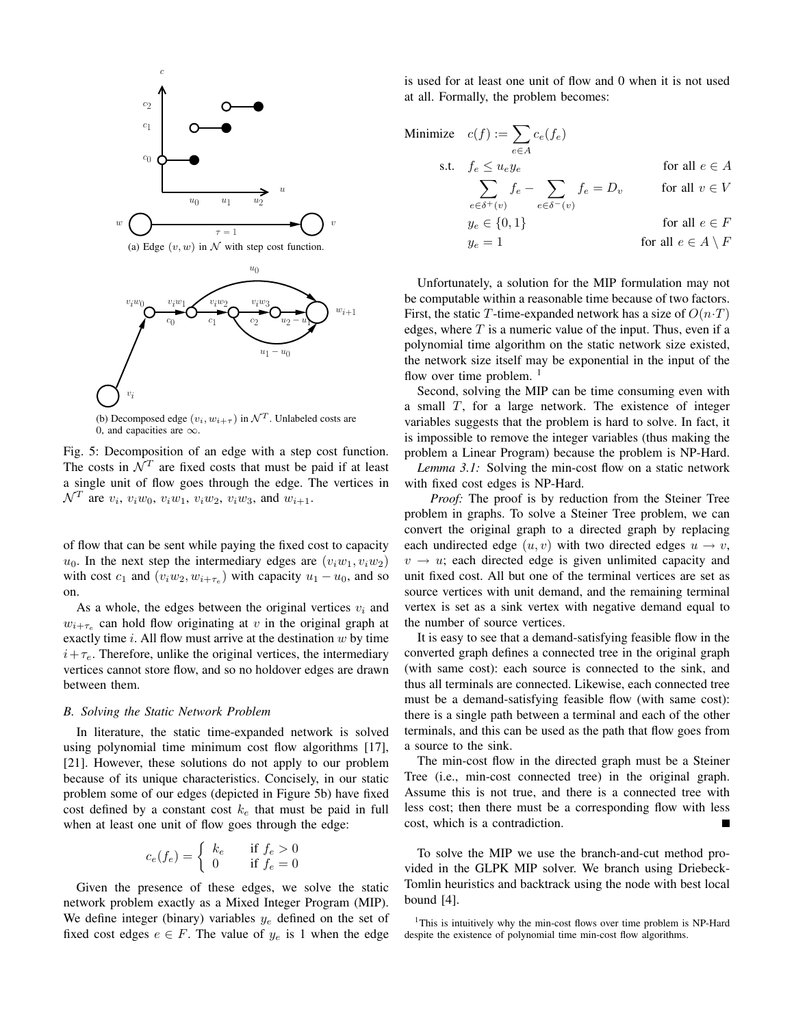

(b) Decomposed edge  $(v_i, w_{i+\tau})$  in  $\mathcal{N}^T$ . Unlabeled costs are 0, and capacities are  $\infty$ .

Fig. 5: Decomposition of an edge with a step cost function. The costs in  $\mathcal{N}^T$  are fixed costs that must be paid if at least a single unit of flow goes through the edge. The vertices in  $\mathcal{N}^T$  are  $v_i$ ,  $v_iw_0$ ,  $v_iw_1$ ,  $v_iw_2$ ,  $v_iw_3$ , and  $w_{i+1}$ .

of flow that can be sent while paying the fixed cost to capacity  $u_0$ . In the next step the intermediary edges are  $(v_iw_1, v_iw_2)$ with cost  $c_1$  and  $(v_iw_2, w_{i+\tau_e})$  with capacity  $u_1 - u_0$ , and so on.

As a whole, the edges between the original vertices  $v_i$  and  $w_{i+\tau_e}$  can hold flow originating at v in the original graph at exactly time  $i$ . All flow must arrive at the destination  $w$  by time  $i+\tau_e$ . Therefore, unlike the original vertices, the intermediary vertices cannot store flow, and so no holdover edges are drawn between them.

## *B. Solving the Static Network Problem*

In literature, the static time-expanded network is solved using polynomial time minimum cost flow algorithms [17], [21]. However, these solutions do not apply to our problem because of its unique characteristics. Concisely, in our static problem some of our edges (depicted in Figure 5b) have fixed cost defined by a constant cost  $k_e$  that must be paid in full when at least one unit of flow goes through the edge:

$$
c_e(f_e) = \begin{cases} k_e & \text{if } f_e > 0\\ 0 & \text{if } f_e = 0 \end{cases}
$$

Given the presence of these edges, we solve the static network problem exactly as a Mixed Integer Program (MIP). We define integer (binary) variables  $y_e$  defined on the set of fixed cost edges  $e \in F$ . The value of  $y_e$  is 1 when the edge is used for at least one unit of flow and 0 when it is not used at all. Formally, the problem becomes:

Minimize 
$$
c(f) := \sum_{e \in A} c_e(f_e)
$$
  
\ns.t.  $f_e \le u_e y_e$  for all  $e \in A$   
\n
$$
\sum_{e \in \delta^+(v)} f_e - \sum_{e \in \delta^-(v)} f_e = D_v \qquad \text{for all } v \in V
$$
\n $y_e \in \{0, 1\}$  for all  $e \in F$ 

 $y_e = 1$  for all  $e \in A \setminus F$ 

Unfortunately, a solution for the MIP formulation may not be computable within a reasonable time because of two factors. First, the static T-time-expanded network has a size of  $O(n \cdot T)$ edges, where  $T$  is a numeric value of the input. Thus, even if a polynomial time algorithm on the static network size existed, the network size itself may be exponential in the input of the flow over time problem.  $<sup>1</sup>$ </sup>

Second, solving the MIP can be time consuming even with a small T, for a large network. The existence of integer variables suggests that the problem is hard to solve. In fact, it is impossible to remove the integer variables (thus making the problem a Linear Program) because the problem is NP-Hard.

*Lemma 3.1:* Solving the min-cost flow on a static network with fixed cost edges is NP-Hard.

*Proof:* The proof is by reduction from the Steiner Tree problem in graphs. To solve a Steiner Tree problem, we can convert the original graph to a directed graph by replacing each undirected edge  $(u, v)$  with two directed edges  $u \rightarrow v$ ,  $v \rightarrow u$ ; each directed edge is given unlimited capacity and unit fixed cost. All but one of the terminal vertices are set as source vertices with unit demand, and the remaining terminal vertex is set as a sink vertex with negative demand equal to the number of source vertices.

It is easy to see that a demand-satisfying feasible flow in the converted graph defines a connected tree in the original graph (with same cost): each source is connected to the sink, and thus all terminals are connected. Likewise, each connected tree must be a demand-satisfying feasible flow (with same cost): there is a single path between a terminal and each of the other terminals, and this can be used as the path that flow goes from a source to the sink.

The min-cost flow in the directed graph must be a Steiner Tree (i.e., min-cost connected tree) in the original graph. Assume this is not true, and there is a connected tree with less cost; then there must be a corresponding flow with less cost, which is a contradiction.

To solve the MIP we use the branch-and-cut method provided in the GLPK MIP solver. We branch using Driebeck-Tomlin heuristics and backtrack using the node with best local bound [4].

<sup>1</sup>This is intuitively why the min-cost flows over time problem is NP-Hard despite the existence of polynomial time min-cost flow algorithms.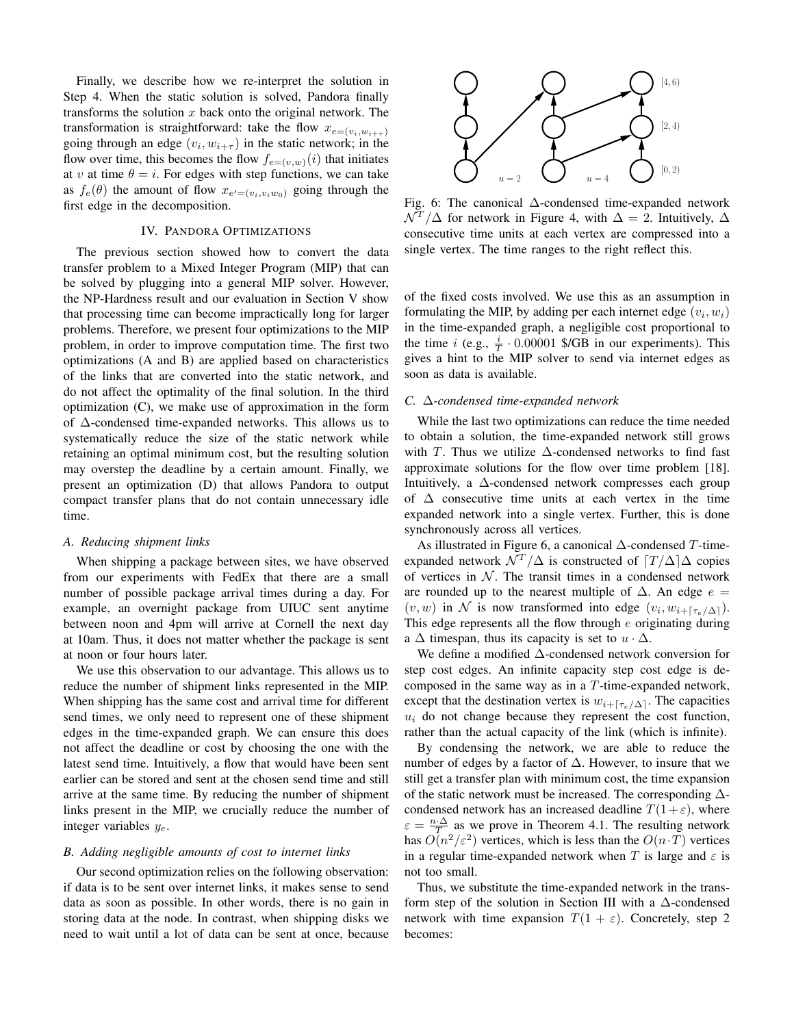Finally, we describe how we re-interpret the solution in Step 4. When the static solution is solved, Pandora finally transforms the solution  $x$  back onto the original network. The transformation is straightforward: take the flow  $x_{e=(v_i,w_{i+\tau})}$ going through an edge  $(v_i, w_{i+\tau})$  in the static network; in the flow over time, this becomes the flow  $f_{e=(v,w)}(i)$  that initiates at v at time  $\theta = i$ . For edges with step functions, we can take as  $f_e(\theta)$  the amount of flow  $x_{e'=(v_i,v_iw_0)}$  going through the first edge in the decomposition.

### IV. PANDORA OPTIMIZATIONS

The previous section showed how to convert the data transfer problem to a Mixed Integer Program (MIP) that can be solved by plugging into a general MIP solver. However, the NP-Hardness result and our evaluation in Section V show that processing time can become impractically long for larger problems. Therefore, we present four optimizations to the MIP problem, in order to improve computation time. The first two optimizations (A and B) are applied based on characteristics of the links that are converted into the static network, and do not affect the optimality of the final solution. In the third optimization (C), we make use of approximation in the form of ∆-condensed time-expanded networks. This allows us to systematically reduce the size of the static network while retaining an optimal minimum cost, but the resulting solution may overstep the deadline by a certain amount. Finally, we present an optimization (D) that allows Pandora to output compact transfer plans that do not contain unnecessary idle time.

#### *A. Reducing shipment links*

When shipping a package between sites, we have observed from our experiments with FedEx that there are a small number of possible package arrival times during a day. For example, an overnight package from UIUC sent anytime between noon and 4pm will arrive at Cornell the next day at 10am. Thus, it does not matter whether the package is sent at noon or four hours later.

We use this observation to our advantage. This allows us to reduce the number of shipment links represented in the MIP. When shipping has the same cost and arrival time for different send times, we only need to represent one of these shipment edges in the time-expanded graph. We can ensure this does not affect the deadline or cost by choosing the one with the latest send time. Intuitively, a flow that would have been sent earlier can be stored and sent at the chosen send time and still arrive at the same time. By reducing the number of shipment links present in the MIP, we crucially reduce the number of integer variables  $y_e$ .

#### *B. Adding negligible amounts of cost to internet links*

Our second optimization relies on the following observation: if data is to be sent over internet links, it makes sense to send data as soon as possible. In other words, there is no gain in storing data at the node. In contrast, when shipping disks we need to wait until a lot of data can be sent at once, because



Fig. 6: The canonical ∆-condensed time-expanded network  $\mathcal{N}^T/\Delta$  for network in Figure 4, with  $\Delta = 2$ . Intuitively,  $\Delta$ consecutive time units at each vertex are compressed into a single vertex. The time ranges to the right reflect this.

of the fixed costs involved. We use this as an assumption in formulating the MIP, by adding per each internet edge  $(v_i, w_i)$ in the time-expanded graph, a negligible cost proportional to the time *i* (e.g.,  $\frac{i}{T} \cdot 0.00001$  \$/GB in our experiments). This gives a hint to the MIP solver to send via internet edges as soon as data is available.

## *C.* ∆*-condensed time-expanded network*

While the last two optimizations can reduce the time needed to obtain a solution, the time-expanded network still grows with T. Thus we utilize  $\Delta$ -condensed networks to find fast approximate solutions for the flow over time problem [18]. Intuitively, a  $\Delta$ -condensed network compresses each group of  $\Delta$  consecutive time units at each vertex in the time expanded network into a single vertex. Further, this is done synchronously across all vertices.

As illustrated in Figure 6, a canonical  $\Delta$ -condensed T-timeexpanded network  $\overline{N}^T/\Delta$  is constructed of  $[T/\Delta]\Delta$  copies of vertices in  $N$ . The transit times in a condensed network are rounded up to the nearest multiple of  $\Delta$ . An edge  $e =$  $(v, w)$  in N is now transformed into edge  $(v_i, w_{i+\lceil \tau_e/\Delta \rceil})$ . This edge represents all the flow through  $e$  originating during a  $\Delta$  timespan, thus its capacity is set to  $u \cdot \Delta$ .

We define a modified ∆-condensed network conversion for step cost edges. An infinite capacity step cost edge is decomposed in the same way as in a T-time-expanded network, except that the destination vertex is  $w_{i+\lceil \tau_e/\Delta \rceil}$ . The capacities  $u_i$  do not change because they represent the cost function, rather than the actual capacity of the link (which is infinite).

By condensing the network, we are able to reduce the number of edges by a factor of  $\Delta$ . However, to insure that we still get a transfer plan with minimum cost, the time expansion of the static network must be increased. The corresponding  $\Delta$ condensed network has an increased deadline  $T(1+\varepsilon)$ , where  $\varepsilon = \frac{n \cdot \Delta}{T}$  as we prove in Theorem 4.1. The resulting network has  $O(n^2/\varepsilon^2)$  vertices, which is less than the  $O(n \cdot T)$  vertices in a regular time-expanded network when T is large and  $\varepsilon$  is not too small.

Thus, we substitute the time-expanded network in the transform step of the solution in Section III with a  $\Delta$ -condensed network with time expansion  $T(1 + \varepsilon)$ . Concretely, step 2 becomes: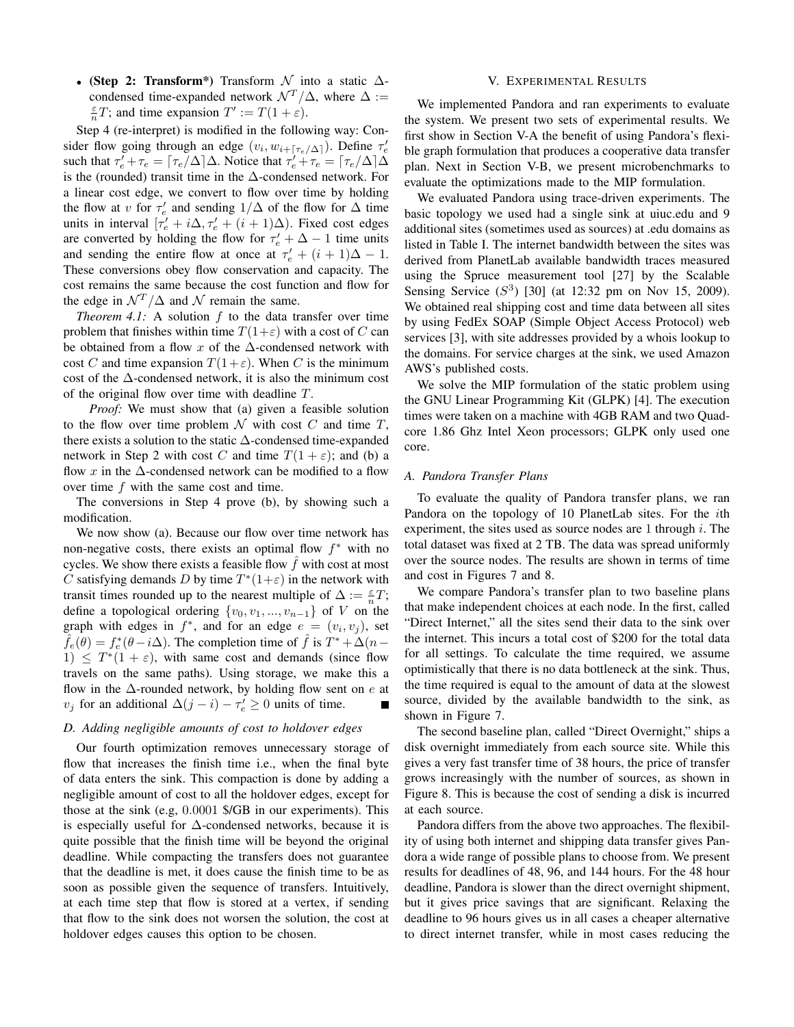• (Step 2: Transform\*) Transform  $\mathcal N$  into a static  $\Delta$ condensed time-expanded network  $\mathcal{N}^T/\Delta$ , where  $\Delta :=$  $\frac{\varepsilon}{n}T$ ; and time expansion  $T' := T(1 + \varepsilon)$ .

Step 4 (re-interpret) is modified in the following way: Consider flow going through an edge  $(v_i, w_{i+\lceil \tau_e/\Delta \rceil})$ . Define  $\tau'_e$ such that  $\tau'_e + \tau_e = \lceil \tau_e / \Delta \rceil \Delta$ . Notice that  $\tau'_e + \tau_e = \lceil \tau_e / \Delta \rceil \Delta$ is the (rounded) transit time in the ∆-condensed network. For a linear cost edge, we convert to flow over time by holding the flow at v for  $\tau'_e$  and sending  $1/\Delta$  of the flow for  $\Delta$  time units in interval  $[\tau'_e + i\Delta, \tau'_e + (i+1)\Delta)$ . Fixed cost edges are converted by holding the flow for  $\tau'_e + \Delta - 1$  time units and sending the entire flow at once at  $\tau'_e + (i+1)\Delta - 1$ . These conversions obey flow conservation and capacity. The cost remains the same because the cost function and flow for the edge in  $\mathcal{N}^T/\Delta$  and  $\mathcal N$  remain the same.

*Theorem 4.1:* A solution  $f$  to the data transfer over time problem that finishes within time  $T(1+\varepsilon)$  with a cost of C can be obtained from a flow x of the  $\Delta$ -condensed network with cost C and time expansion  $T(1+\varepsilon)$ . When C is the minimum cost of the  $\Delta$ -condensed network, it is also the minimum cost of the original flow over time with deadline T.

*Proof:* We must show that (a) given a feasible solution to the flow over time problem  $N$  with cost  $C$  and time  $T$ , there exists a solution to the static ∆-condensed time-expanded network in Step 2 with cost C and time  $T(1 + \varepsilon)$ ; and (b) a flow x in the  $\Delta$ -condensed network can be modified to a flow over time f with the same cost and time.

The conversions in Step 4 prove (b), by showing such a modification.

We now show (a). Because our flow over time network has non-negative costs, there exists an optimal flow  $f^*$  with no cycles. We show there exists a feasible flow  $f$  with cost at most C satisfying demands D by time  $T^*(1+\varepsilon)$  in the network with transit times rounded up to the nearest multiple of  $\Delta := \frac{\epsilon}{n}T$ ; define a topological ordering  $\{v_0, v_1, ..., v_{n-1}\}\$  of V on the graph with edges in  $f^*$ , and for an edge  $e = (v_i, v_j)$ , set  $\hat{f}_e(\theta) = f_e^*(\theta - i\Delta)$ . The completion time of  $\hat{f}$  is  $T^* + \Delta(n - \Delta)$ . 1)  $\leq T^*(1+\varepsilon)$ , with same cost and demands (since flow travels on the same paths). Using storage, we make this a flow in the  $\Delta$ -rounded network, by holding flow sent on e at  $v_j$  for an additional  $\Delta(j - i) - \tau'_e \ge 0$  units of time.

## *D. Adding negligible amounts of cost to holdover edges*

Our fourth optimization removes unnecessary storage of flow that increases the finish time i.e., when the final byte of data enters the sink. This compaction is done by adding a negligible amount of cost to all the holdover edges, except for those at the sink (e.g, 0.0001 \$/GB in our experiments). This is especially useful for  $\Delta$ -condensed networks, because it is quite possible that the finish time will be beyond the original deadline. While compacting the transfers does not guarantee that the deadline is met, it does cause the finish time to be as soon as possible given the sequence of transfers. Intuitively, at each time step that flow is stored at a vertex, if sending that flow to the sink does not worsen the solution, the cost at holdover edges causes this option to be chosen.

#### V. EXPERIMENTAL RESULTS

We implemented Pandora and ran experiments to evaluate the system. We present two sets of experimental results. We first show in Section V-A the benefit of using Pandora's flexible graph formulation that produces a cooperative data transfer plan. Next in Section V-B, we present microbenchmarks to evaluate the optimizations made to the MIP formulation.

We evaluated Pandora using trace-driven experiments. The basic topology we used had a single sink at uiuc.edu and 9 additional sites (sometimes used as sources) at .edu domains as listed in Table I. The internet bandwidth between the sites was derived from PlanetLab available bandwidth traces measured using the Spruce measurement tool [27] by the Scalable Sensing Service  $(S^3)$  [30] (at 12:32 pm on Nov 15, 2009). We obtained real shipping cost and time data between all sites by using FedEx SOAP (Simple Object Access Protocol) web services [3], with site addresses provided by a whois lookup to the domains. For service charges at the sink, we used Amazon AWS's published costs.

We solve the MIP formulation of the static problem using the GNU Linear Programming Kit (GLPK) [4]. The execution times were taken on a machine with 4GB RAM and two Quadcore 1.86 Ghz Intel Xeon processors; GLPK only used one core.

## *A. Pandora Transfer Plans*

To evaluate the quality of Pandora transfer plans, we ran Pandora on the topology of 10 PlanetLab sites. For the ith experiment, the sites used as source nodes are  $1$  through  $i$ . The total dataset was fixed at 2 TB. The data was spread uniformly over the source nodes. The results are shown in terms of time and cost in Figures 7 and 8.

We compare Pandora's transfer plan to two baseline plans that make independent choices at each node. In the first, called "Direct Internet," all the sites send their data to the sink over the internet. This incurs a total cost of \$200 for the total data for all settings. To calculate the time required, we assume optimistically that there is no data bottleneck at the sink. Thus, the time required is equal to the amount of data at the slowest source, divided by the available bandwidth to the sink, as shown in Figure 7.

The second baseline plan, called "Direct Overnight," ships a disk overnight immediately from each source site. While this gives a very fast transfer time of 38 hours, the price of transfer grows increasingly with the number of sources, as shown in Figure 8. This is because the cost of sending a disk is incurred at each source.

Pandora differs from the above two approaches. The flexibility of using both internet and shipping data transfer gives Pandora a wide range of possible plans to choose from. We present results for deadlines of 48, 96, and 144 hours. For the 48 hour deadline, Pandora is slower than the direct overnight shipment, but it gives price savings that are significant. Relaxing the deadline to 96 hours gives us in all cases a cheaper alternative to direct internet transfer, while in most cases reducing the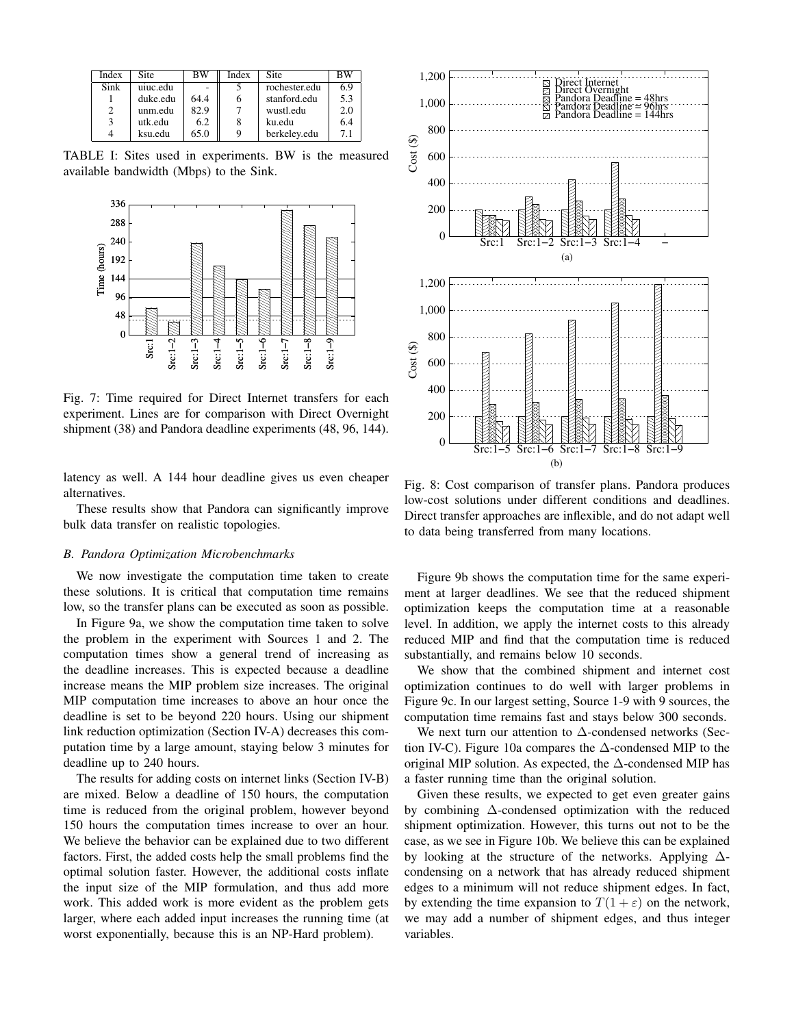| Index         | <b>Site</b> | ВW   | Index | Site          | <b>BW</b> |
|---------------|-------------|------|-------|---------------|-----------|
| Sink          | uiuc.edu    |      |       | rochester.edu | 6.9       |
|               | duke.edu    | 64.4 | O     | stanford.edu  | 5.3       |
| $\mathcal{L}$ | unm.edu     | 82.9 |       | wustl.edu     | 2.0       |
|               | utk.edu     | 6.2  |       | ku.edu        | 6.4       |
|               | ksu.edu     | 65.0 | q     | berkeley.edu  | 7.1       |

TABLE I: Sites used in experiments. BW is the measured available bandwidth (Mbps) to the Sink.



Fig. 7: Time required for Direct Internet transfers for each experiment. Lines are for comparison with Direct Overnight shipment (38) and Pandora deadline experiments (48, 96, 144).

latency as well. A 144 hour deadline gives us even cheaper alternatives.

These results show that Pandora can significantly improve bulk data transfer on realistic topologies.

## *B. Pandora Optimization Microbenchmarks*

We now investigate the computation time taken to create these solutions. It is critical that computation time remains low, so the transfer plans can be executed as soon as possible.

In Figure 9a, we show the computation time taken to solve the problem in the experiment with Sources 1 and 2. The computation times show a general trend of increasing as the deadline increases. This is expected because a deadline increase means the MIP problem size increases. The original MIP computation time increases to above an hour once the deadline is set to be beyond 220 hours. Using our shipment link reduction optimization (Section IV-A) decreases this computation time by a large amount, staying below 3 minutes for deadline up to 240 hours.

The results for adding costs on internet links (Section IV-B) are mixed. Below a deadline of 150 hours, the computation time is reduced from the original problem, however beyond 150 hours the computation times increase to over an hour. We believe the behavior can be explained due to two different factors. First, the added costs help the small problems find the optimal solution faster. However, the additional costs inflate the input size of the MIP formulation, and thus add more work. This added work is more evident as the problem gets larger, where each added input increases the running time (at worst exponentially, because this is an NP-Hard problem).



Fig. 8: Cost comparison of transfer plans. Pandora produces low-cost solutions under different conditions and deadlines. Direct transfer approaches are inflexible, and do not adapt well to data being transferred from many locations.

Figure 9b shows the computation time for the same experiment at larger deadlines. We see that the reduced shipment optimization keeps the computation time at a reasonable level. In addition, we apply the internet costs to this already reduced MIP and find that the computation time is reduced substantially, and remains below 10 seconds.

We show that the combined shipment and internet cost optimization continues to do well with larger problems in Figure 9c. In our largest setting, Source 1-9 with 9 sources, the computation time remains fast and stays below 300 seconds.

We next turn our attention to ∆-condensed networks (Section IV-C). Figure 10a compares the  $\Delta$ -condensed MIP to the original MIP solution. As expected, the  $\Delta$ -condensed MIP has a faster running time than the original solution.

Given these results, we expected to get even greater gains by combining ∆-condensed optimization with the reduced shipment optimization. However, this turns out not to be the case, as we see in Figure 10b. We believe this can be explained by looking at the structure of the networks. Applying ∆ condensing on a network that has already reduced shipment edges to a minimum will not reduce shipment edges. In fact, by extending the time expansion to  $T(1+\varepsilon)$  on the network, we may add a number of shipment edges, and thus integer variables.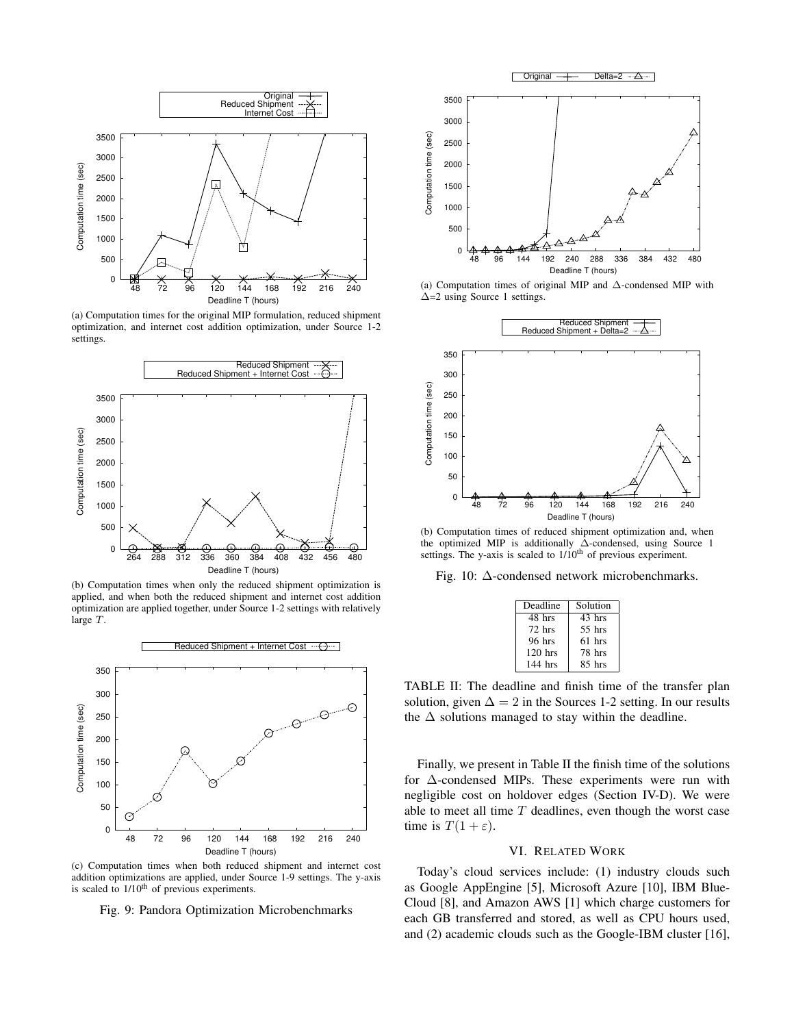

(a) Computation times for the original MIP formulation, reduced shipment optimization, and internet cost addition optimization, under Source 1-2 settings.



(b) Computation times when only the reduced shipment optimization is applied, and when both the reduced shipment and internet cost addition optimization are applied together, under Source 1-2 settings with relatively large T.



(c) Computation times when both reduced shipment and internet cost addition optimizations are applied, under Source 1-9 settings. The y-axis is scaled to 1/10<sup>th</sup> of previous experiments.





(a) Computation times of original MIP and ∆-condensed MIP with ∆=2 using Source 1 settings.



(b) Computation times of reduced shipment optimization and, when the optimized MIP is additionally ∆-condensed, using Source 1 settings. The y-axis is scaled to 1/10<sup>th</sup> of previous experiment.

Fig. 10: ∆-condensed network microbenchmarks.

| Deadline  | Solution |  |  |
|-----------|----------|--|--|
| 48 hrs    | 43 hrs   |  |  |
| 72 hrs    | 55 hrs   |  |  |
| 96 hrs    | 61 hrs   |  |  |
| $120$ hrs | 78 hrs   |  |  |
| $144$ hrs | $85$ hrs |  |  |
|           |          |  |  |

TABLE II: The deadline and finish time of the transfer plan solution, given  $\Delta = 2$  in the Sources 1-2 setting. In our results the  $\Delta$  solutions managed to stay within the deadline.

Finally, we present in Table II the finish time of the solutions for ∆-condensed MIPs. These experiments were run with negligible cost on holdover edges (Section IV-D). We were able to meet all time  $T$  deadlines, even though the worst case time is  $T(1 + \varepsilon)$ .

## VI. RELATED WORK

Today's cloud services include: (1) industry clouds such as Google AppEngine [5], Microsoft Azure [10], IBM Blue-Cloud [8], and Amazon AWS [1] which charge customers for each GB transferred and stored, as well as CPU hours used, and (2) academic clouds such as the Google-IBM cluster [16],